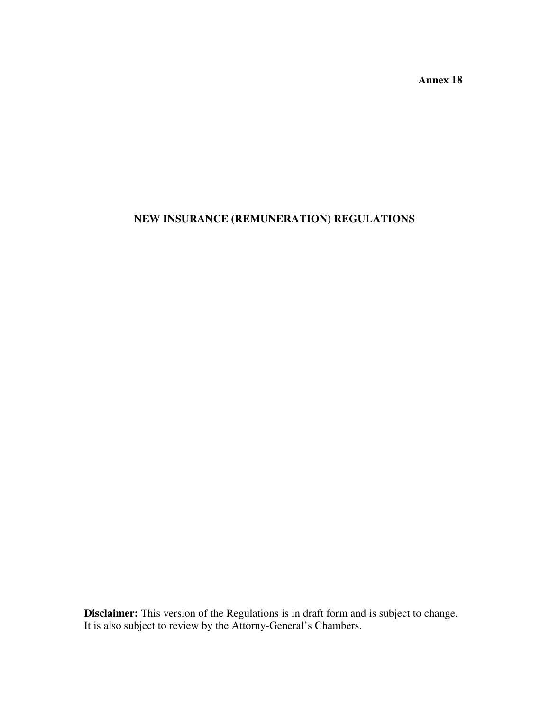**Annex 18** 

# **NEW INSURANCE (REMUNERATION) REGULATIONS**

**Disclaimer:** This version of the Regulations is in draft form and is subject to change. It is also subject to review by the Attorny-General's Chambers.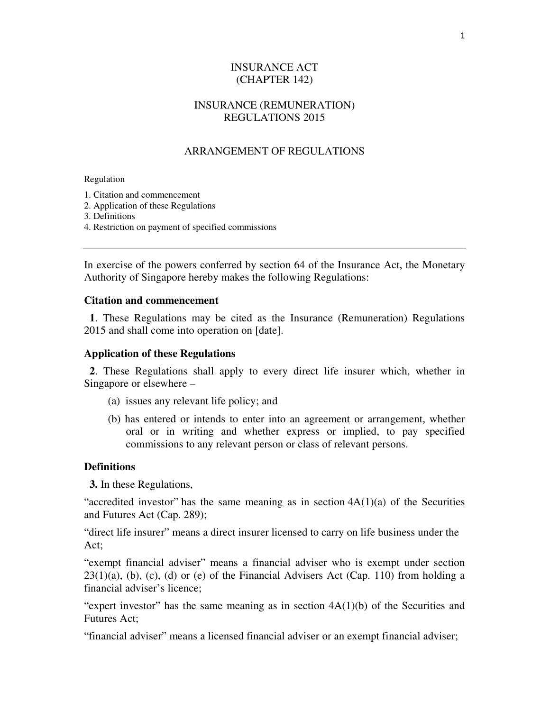## INSURANCE ACT (CHAPTER 142)

### INSURANCE (REMUNERATION) REGULATIONS 2015

### ARRANGEMENT OF REGULATIONS

Regulation

1. Citation and commencement

2. Application of these Regulations

3. Definitions

4. Restriction on payment of specified commissions

In exercise of the powers conferred by section 64 of the Insurance Act, the Monetary Authority of Singapore hereby makes the following Regulations:

#### **Citation and commencement**

 **1**. These Regulations may be cited as the Insurance (Remuneration) Regulations 2015 and shall come into operation on [date].

#### **Application of these Regulations**

 **2**. These Regulations shall apply to every direct life insurer which, whether in Singapore or elsewhere –

- (a) issues any relevant life policy; and
- (b) has entered or intends to enter into an agreement or arrangement, whether oral or in writing and whether express or implied, to pay specified commissions to any relevant person or class of relevant persons.

#### **Definitions**

 **3.** In these Regulations,

"accredited investor" has the same meaning as in section  $4A(1)(a)$  of the Securities and Futures Act (Cap. 289);

"direct life insurer" means a direct insurer licensed to carry on life business under the Act;

"exempt financial adviser" means a financial adviser who is exempt under section  $23(1)(a)$ , (b), (c), (d) or (e) of the Financial Advisers Act (Cap. 110) from holding a financial adviser's licence;

"expert investor" has the same meaning as in section  $4A(1)(b)$  of the Securities and Futures Act;

"financial adviser" means a licensed financial adviser or an exempt financial adviser;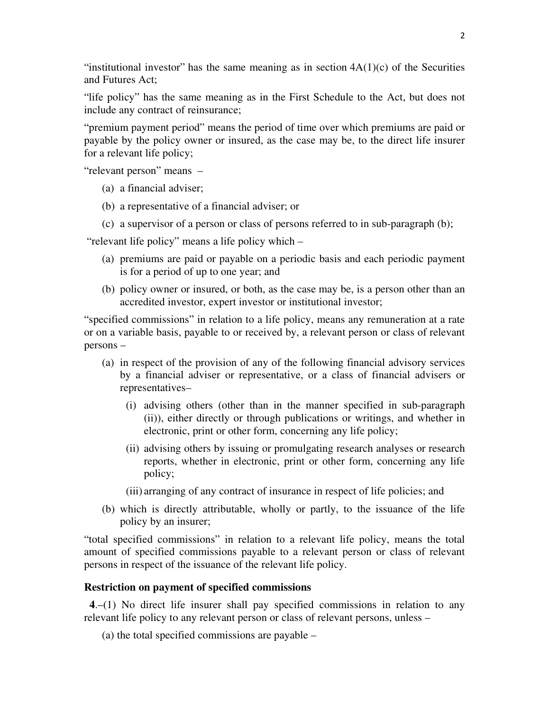"institutional investor" has the same meaning as in section  $4A(1)(c)$  of the Securities and Futures Act;

"life policy" has the same meaning as in the First Schedule to the Act, but does not include any contract of reinsurance;

"premium payment period" means the period of time over which premiums are paid or payable by the policy owner or insured, as the case may be, to the direct life insurer for a relevant life policy;

"relevant person" means –

- (a) a financial adviser;
- (b) a representative of a financial adviser; or
- (c) a supervisor of a person or class of persons referred to in sub-paragraph (b);

"relevant life policy" means a life policy which –

- (a) premiums are paid or payable on a periodic basis and each periodic payment is for a period of up to one year; and
- (b) policy owner or insured, or both, as the case may be, is a person other than an accredited investor, expert investor or institutional investor;

"specified commissions" in relation to a life policy, means any remuneration at a rate or on a variable basis, payable to or received by, a relevant person or class of relevant persons –

- (a) in respect of the provision of any of the following financial advisory services by a financial adviser or representative, or a class of financial advisers or representatives–
	- (i) advising others (other than in the manner specified in sub-paragraph (ii)), either directly or through publications or writings, and whether in electronic, print or other form, concerning any life policy;
	- (ii) advising others by issuing or promulgating research analyses or research reports, whether in electronic, print or other form, concerning any life policy;
	- (iii) arranging of any contract of insurance in respect of life policies; and
- (b) which is directly attributable, wholly or partly, to the issuance of the life policy by an insurer;

"total specified commissions" in relation to a relevant life policy, means the total amount of specified commissions payable to a relevant person or class of relevant persons in respect of the issuance of the relevant life policy.

#### **Restriction on payment of specified commissions**

 **4**.–(1) No direct life insurer shall pay specified commissions in relation to any relevant life policy to any relevant person or class of relevant persons, unless –

(a) the total specified commissions are payable –